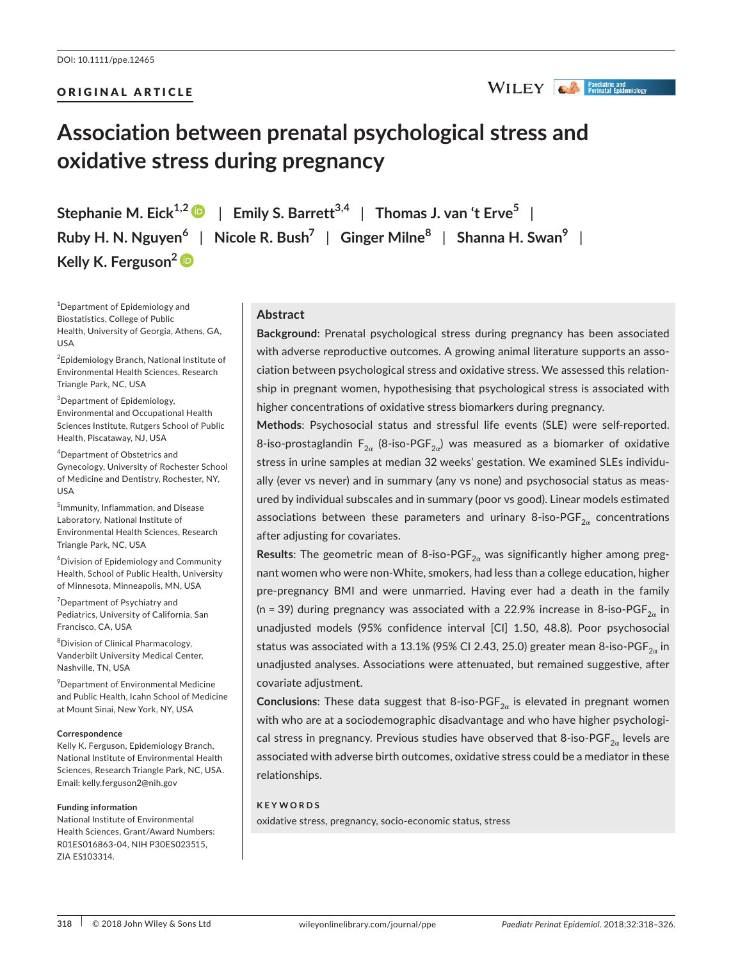## ORIGINAL ARTICLE

## WILEY **CA** *Paediatric and*

# **Association between prenatal psychological stress and oxidative stress during pregnancy**

**Stephanie M. Eick**<sup>1,2</sup>  $\bullet$  | Emily S. Barrett<sup>3,4</sup> | Thomas J. van 't Erve<sup>5</sup> | **Ruby H. N. Nguyen<sup>6</sup>** | **Nicole R. Bush<sup>7</sup>** | **Ginger Milne<sup>8</sup>** | **Shanna H. Swan<sup>9</sup>** | **Kelly K. Ferguson[2](http://orcid.org/0000-0001-8467-3250)**

<sup>1</sup>Department of Epidemiology and Biostatistics, College of Public Health, University of Georgia, Athens, GA, USA

<sup>2</sup> Epidemiology Branch, National Institute of Environmental Health Sciences, Research Triangle Park, NC, USA

3 Department of Epidemiology, Environmental and Occupational Health Sciences Institute, Rutgers School of Public Health, Piscataway, NJ, USA

4 Department of Obstetrics and Gynecology, University of Rochester School of Medicine and Dentistry, Rochester, NY, USA

5 Immunity, Inflammation, and Disease Laboratory, National Institute of Environmental Health Sciences, Research Triangle Park, NC, USA

6 Division of Epidemiology and Community Health, School of Public Health, University of Minnesota, Minneapolis, MN, USA

<sup>7</sup> Department of Psychiatry and Pediatrics, University of California, San Francisco, CA, USA

8 Division of Clinical Pharmacology, Vanderbilt University Medical Center, Nashville, TN, USA

9 Department of Environmental Medicine and Public Health, Icahn School of Medicine at Mount Sinai, New York, NY, USA

#### **Correspondence**

Kelly K. Ferguson, Epidemiology Branch, National Institute of Environmental Health Sciences, Research Triangle Park, NC, USA. Email: [kelly.ferguson2@nih.gov](mailto:kelly.ferguson2@nih.gov)

#### **Funding information**

National Institute of Environmental Health Sciences, Grant/Award Numbers: R01ES016863-04, NIH P30ES023515, ZIA ES103314.

## **Abstract**

**Background**: Prenatal psychological stress during pregnancy has been associated with adverse reproductive outcomes. A growing animal literature supports an association between psychological stress and oxidative stress. We assessed this relationship in pregnant women, hypothesising that psychological stress is associated with higher concentrations of oxidative stress biomarkers during pregnancy.

**Methods**: Psychosocial status and stressful life events (SLE) were self-reported. 8-iso-prostaglandin F<sub>2α</sub> (8-iso-PGF<sub>2α</sub>) was measured as a biomarker of oxidative stress in urine samples at median 32 weeks' gestation. We examined SLEs individually (ever vs never) and in summary (any vs none) and psychosocial status as measured by individual subscales and in summary (poor vs good). Linear models estimated associations between these parameters and urinary 8-iso-PGF $_{2\alpha}$  concentrations after adjusting for covariates.

Results: The geometric mean of 8-iso-PGF<sub>2α</sub> was significantly higher among pregnant women who were non-White, smokers, had less than a college education, higher pre-pregnancy BMI and were unmarried. Having ever had a death in the family (n = 39) during pregnancy was associated with a 22.9% increase in 8-iso-PGF<sub>2</sub> in unadjusted models (95% confidence interval [CI] 1.50, 48.8). Poor psychosocial status was associated with a 13.1% (95% CI 2.43, 25.0) greater mean 8-iso-PGF $_{2a}$  in unadjusted analyses. Associations were attenuated, but remained suggestive, after covariate adjustment.

**Conclusions**: These data suggest that 8-iso-PGF<sub>2α</sub> is elevated in pregnant women with who are at a sociodemographic disadvantage and who have higher psychological stress in pregnancy. Previous studies have observed that 8-iso-PGF<sub>2 $\alpha$ </sub> levels are associated with adverse birth outcomes, oxidative stress could be a mediator in these relationships.

#### **KEYWORDS**

oxidative stress, pregnancy, socio-economic status, stress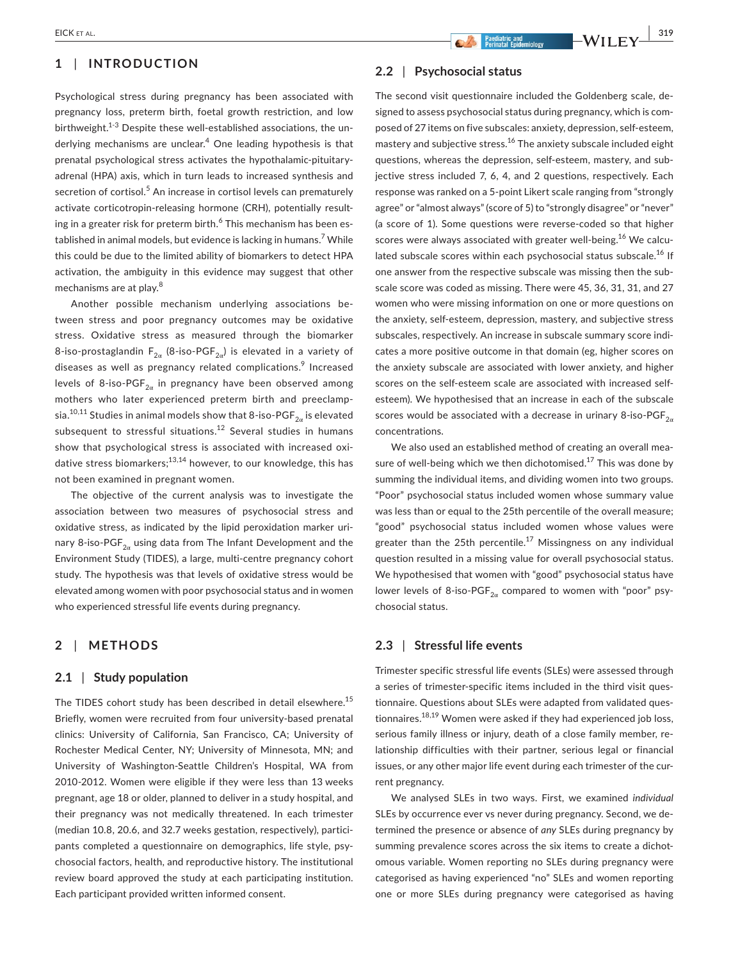## **1** | **INTRODUCTION**

Psychological stress during pregnancy has been associated with pregnancy loss, preterm birth, foetal growth restriction, and low birthweight.<sup>1-3</sup> Despite these well-established associations, the underlying mechanisms are unclear.<sup>4</sup> One leading hypothesis is that prenatal psychological stress activates the hypothalamic-pituitaryadrenal (HPA) axis, which in turn leads to increased synthesis and secretion of cortisol.<sup>5</sup> An increase in cortisol levels can prematurely activate corticotropin-releasing hormone (CRH), potentially resulting in a greater risk for preterm birth. $^6$  This mechanism has been established in animal models, but evidence is lacking in humans.<sup>7</sup> While this could be due to the limited ability of biomarkers to detect HPA activation, the ambiguity in this evidence may suggest that other mechanisms are at play.<sup>8</sup>

Another possible mechanism underlying associations between stress and poor pregnancy outcomes may be oxidative stress. Oxidative stress as measured through the biomarker 8-iso-prostaglandin  $F_{2\alpha}$  (8-iso-PGF<sub>2a</sub>) is elevated in a variety of diseases as well as pregnancy related complications.<sup>9</sup> Increased levels of 8-iso-PGF<sub>2 $\alpha$ </sub> in pregnancy have been observed among mothers who later experienced preterm birth and preeclampsia.<sup>10,11</sup> Studies in animal models show that 8-iso-PGF<sub>2a</sub> is elevated subsequent to stressful situations.<sup>12</sup> Several studies in humans show that psychological stress is associated with increased oxidative stress biomarkers;<sup>13,14</sup> however, to our knowledge, this has not been examined in pregnant women.

The objective of the current analysis was to investigate the association between two measures of psychosocial stress and oxidative stress, as indicated by the lipid peroxidation marker urinary 8-iso-PGF $_{2a}$  using data from The Infant Development and the Environment Study (TIDES), a large, multi-centre pregnancy cohort study. The hypothesis was that levels of oxidative stress would be elevated among women with poor psychosocial status and in women who experienced stressful life events during pregnancy.

## **2** | **METHODS**

#### **2.1** | **Study population**

The TIDES cohort study has been described in detail elsewhere.<sup>15</sup> Briefly, women were recruited from four university-based prenatal clinics: University of California, San Francisco, CA; University of Rochester Medical Center, NY; University of Minnesota, MN; and University of Washington-Seattle Children's Hospital, WA from 2010-2012. Women were eligible if they were less than 13 weeks pregnant, age 18 or older, planned to deliver in a study hospital, and their pregnancy was not medically threatened. In each trimester (median 10.8, 20.6, and 32.7 weeks gestation, respectively), participants completed a questionnaire on demographics, life style, psychosocial factors, health, and reproductive history. The institutional review board approved the study at each participating institution. Each participant provided written informed consent.

## **2.2** | **Psychosocial status**

The second visit questionnaire included the Goldenberg scale, designed to assess psychosocial status during pregnancy, which is composed of 27 items on five subscales: anxiety, depression, self-esteem, mastery and subjective stress.<sup>16</sup> The anxiety subscale included eight questions, whereas the depression, self-esteem, mastery, and subjective stress included 7, 6, 4, and 2 questions, respectively. Each response was ranked on a 5-point Likert scale ranging from "strongly agree" or "almost always" (score of 5) to "strongly disagree" or "never" (a score of 1). Some questions were reverse-coded so that higher scores were always associated with greater well-being.<sup>16</sup> We calculated subscale scores within each psychosocial status subscale.<sup>16</sup> If one answer from the respective subscale was missing then the subscale score was coded as missing. There were 45, 36, 31, 31, and 27 women who were missing information on one or more questions on the anxiety, self-esteem, depression, mastery, and subjective stress subscales, respectively. An increase in subscale summary score indicates a more positive outcome in that domain (eg, higher scores on the anxiety subscale are associated with lower anxiety, and higher scores on the self-esteem scale are associated with increased selfesteem). We hypothesised that an increase in each of the subscale scores would be associated with a decrease in urinary 8-iso-PGF $_{2a}$ concentrations.

We also used an established method of creating an overall measure of well-being which we then dichotomised.<sup>17</sup> This was done by summing the individual items, and dividing women into two groups. "Poor" psychosocial status included women whose summary value was less than or equal to the 25th percentile of the overall measure; "good" psychosocial status included women whose values were greater than the 25th percentile.<sup>17</sup> Missingness on any individual question resulted in a missing value for overall psychosocial status. We hypothesised that women with "good" psychosocial status have lower levels of 8-iso-PGF<sub>2 $\alpha$ </sub> compared to women with "poor" psychosocial status.

## **2.3** | **Stressful life events**

Trimester specific stressful life events (SLEs) were assessed through a series of trimester-specific items included in the third visit questionnaire. Questions about SLEs were adapted from validated questionnaires.18,19 Women were asked if they had experienced job loss, serious family illness or injury, death of a close family member, relationship difficulties with their partner, serious legal or financial issues, or any other major life event during each trimester of the current pregnancy.

We analysed SLEs in two ways. First, we examined *individual* SLEs by occurrence ever vs never during pregnancy. Second, we determined the presence or absence of *any* SLEs during pregnancy by summing prevalence scores across the six items to create a dichotomous variable. Women reporting no SLEs during pregnancy were categorised as having experienced "no" SLEs and women reporting one or more SLEs during pregnancy were categorised as having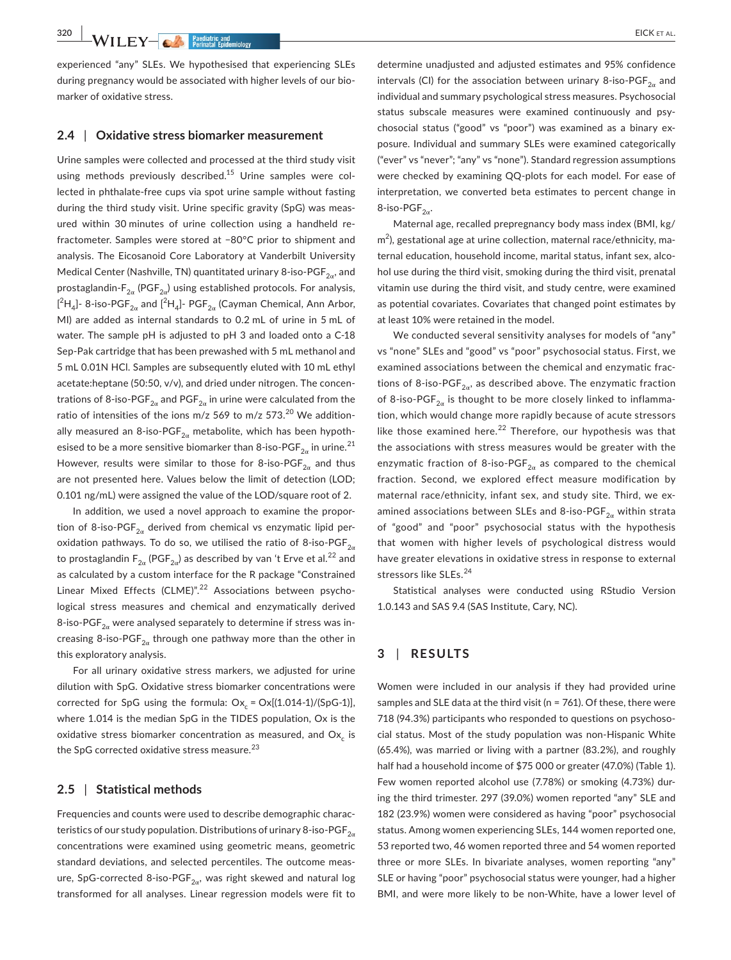**320 WII.F.Y-A.** Passilatric and **Beginning** 

experienced "any" SLEs. We hypothesised that experiencing SLEs during pregnancy would be associated with higher levels of our biomarker of oxidative stress.

#### **2.4** | **Oxidative stress biomarker measurement**

Urine samples were collected and processed at the third study visit using methods previously described.<sup>15</sup> Urine samples were collected in phthalate-free cups via spot urine sample without fasting during the third study visit. Urine specific gravity (SpG) was measured within 30 minutes of urine collection using a handheld refractometer. Samples were stored at −80°C prior to shipment and analysis. The Eicosanoid Core Laboratory at Vanderbilt University Medical Center (Nashville, TN) quantitated urinary 8-iso-PGF $_{2\alpha}$ , and prostaglandin- $F_{2\alpha}$  (PGF<sub>2 $\alpha$ </sub>) using established protocols. For analysis,  $[^2\mathsf{H}_4]$ - 8-iso-PGF $_{2\alpha}$  and  $[^2\mathsf{H}_4]$ - PGF $_{2\alpha}$  (Cayman Chemical, Ann Arbor, MI) are added as internal standards to 0.2 mL of urine in 5 mL of water. The sample pH is adjusted to pH 3 and loaded onto a C-18 Sep-Pak cartridge that has been prewashed with 5 mL methanol and 5 mL 0.01N HCl. Samples are subsequently eluted with 10 mL ethyl acetate:heptane (50:50, v/v), and dried under nitrogen. The concentrations of 8-iso-PGF<sub>2 $\alpha$ </sub> and PGF<sub>2 $\alpha$ </sub> in urine were calculated from the ratio of intensities of the ions m/z 569 to m/z 573.<sup>20</sup> We additionally measured an 8-iso-PGF<sub>2 $\alpha$ </sub> metabolite, which has been hypothesised to be a more sensitive biomarker than 8-iso-PGF<sub>2 $\alpha$ </sub> in urine.<sup>21</sup> However, results were similar to those for 8-iso-PGF<sub>2 $\alpha$ </sub> and thus are not presented here. Values below the limit of detection (LOD; 0.101 ng/mL) were assigned the value of the LOD/square root of 2.

In addition, we used a novel approach to examine the proportion of 8-iso-PGF $_{2\alpha}$  derived from chemical vs enzymatic lipid peroxidation pathways. To do so, we utilised the ratio of 8-iso-PGF $_{2\alpha}$ to prostaglandin  $F_{2\alpha}$  (PGF<sub>2 $\alpha$ </sub>) as described by van 't Erve et al.<sup>22</sup> and as calculated by a custom interface for the R package "Constrained Linear Mixed Effects (CLME)".<sup>22</sup> Associations between psychological stress measures and chemical and enzymatically derived 8-iso-PGF<sub>2 $\alpha$ </sub> were analysed separately to determine if stress was increasing 8-iso-PGF<sub>2 $\alpha$ </sub> through one pathway more than the other in this exploratory analysis.

For all urinary oxidative stress markers, we adjusted for urine dilution with SpG. Oxidative stress biomarker concentrations were corrected for SpG using the formula:  $Ox_c = Ox[(1.014-1)/(SpG-1)],$ where 1.014 is the median SpG in the TIDES population, Ox is the oxidative stress biomarker concentration as measured, and Ox<sub>c</sub> is the SpG corrected oxidative stress measure.<sup>23</sup>

#### **2.5** | **Statistical methods**

Frequencies and counts were used to describe demographic characteristics of our study population. Distributions of urinary 8-iso-PGF $_{2\alpha}$ concentrations were examined using geometric means, geometric standard deviations, and selected percentiles. The outcome measure, SpG-corrected 8-iso-PGF<sub>2 $\alpha$ </sub>, was right skewed and natural log transformed for all analyses. Linear regression models were fit to

determine unadjusted and adjusted estimates and 95% confidence intervals (CI) for the association between urinary 8-iso-PGF $_{2a}$  and individual and summary psychological stress measures. Psychosocial status subscale measures were examined continuously and psychosocial status ("good" vs "poor") was examined as a binary exposure. Individual and summary SLEs were examined categorically ("ever" vs "never"; "any" vs "none"). Standard regression assumptions were checked by examining QQ-plots for each model. For ease of interpretation, we converted beta estimates to percent change in 8-iso-PGF $_{2\alpha}$ .

Maternal age, recalled prepregnancy body mass index (BMI, kg/ m<sup>2</sup>), gestational age at urine collection, maternal race/ethnicity, maternal education, household income, marital status, infant sex, alcohol use during the third visit, smoking during the third visit, prenatal vitamin use during the third visit, and study centre, were examined as potential covariates. Covariates that changed point estimates by at least 10% were retained in the model.

We conducted several sensitivity analyses for models of "any" vs "none" SLEs and "good" vs "poor" psychosocial status. First, we examined associations between the chemical and enzymatic fractions of 8-iso-PGF $_{2\alpha}$ , as described above. The enzymatic fraction of 8-iso-PGF $_{2\alpha}$  is thought to be more closely linked to inflammation, which would change more rapidly because of acute stressors like those examined here. $^{22}$  Therefore, our hypothesis was that the associations with stress measures would be greater with the enzymatic fraction of 8-iso-PGF $_{2\alpha}$  as compared to the chemical fraction. Second, we explored effect measure modification by maternal race/ethnicity, infant sex, and study site. Third, we examined associations between SLEs and 8-iso-PGF $_{2\alpha}$  within strata of "good" and "poor" psychosocial status with the hypothesis that women with higher levels of psychological distress would have greater elevations in oxidative stress in response to external stressors like SLEs.<sup>24</sup>

Statistical analyses were conducted using RStudio Version 1.0.143 and SAS 9.4 (SAS Institute, Cary, NC).

## **3** | **RESULTS**

Women were included in our analysis if they had provided urine samples and SLE data at the third visit (n = 761). Of these, there were 718 (94.3%) participants who responded to questions on psychosocial status. Most of the study population was non-Hispanic White (65.4%), was married or living with a partner (83.2%), and roughly half had a household income of \$75 000 or greater (47.0%) (Table 1). Few women reported alcohol use (7.78%) or smoking (4.73%) during the third trimester. 297 (39.0%) women reported "any" SLE and 182 (23.9%) women were considered as having "poor" psychosocial status. Among women experiencing SLEs, 144 women reported one, 53 reported two, 46 women reported three and 54 women reported three or more SLEs. In bivariate analyses, women reporting "any" SLE or having "poor" psychosocial status were younger, had a higher BMI, and were more likely to be non-White, have a lower level of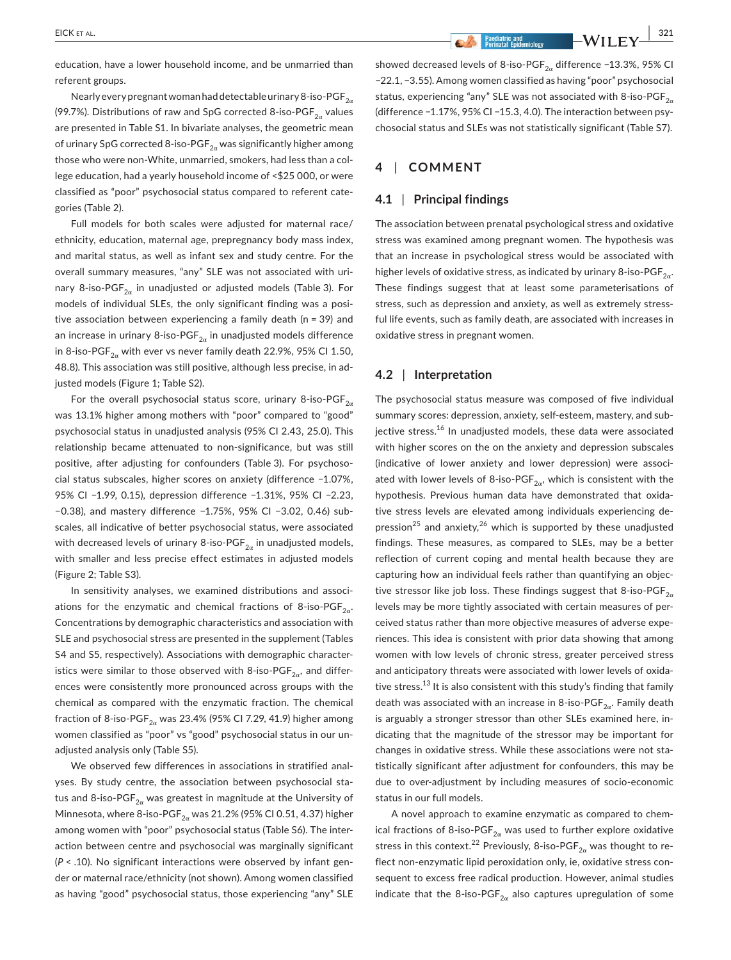education, have a lower household income, and be unmarried than referent groups.

Nearly every pregnant woman had detectable urinary 8-iso-PGF $_{2\alpha}$ (99.7%). Distributions of raw and SpG corrected 8-iso-PGF $_{2a}$  values are presented in Table S1. In bivariate analyses, the geometric mean of urinary SpG corrected 8-iso-PGF $_{2\alpha}$  was significantly higher among those who were non-White, unmarried, smokers, had less than a college education, had a yearly household income of <\$25 000, or were classified as "poor" psychosocial status compared to referent categories (Table 2).

Full models for both scales were adjusted for maternal race/ ethnicity, education, maternal age, prepregnancy body mass index, and marital status, as well as infant sex and study centre. For the overall summary measures, "any" SLE was not associated with urinary 8-iso-PGF<sub>2 $\alpha$ </sub> in unadjusted or adjusted models (Table 3). For models of individual SLEs, the only significant finding was a positive association between experiencing a family death (n = 39) and an increase in urinary 8-iso-PGF $_{2\alpha}$  in unadjusted models difference in 8-iso-PGF<sub>2 $\alpha$ </sub> with ever vs never family death 22.9%, 95% CI 1.50, 48.8). This association was still positive, although less precise, in adjusted models (Figure 1; Table S2).

For the overall psychosocial status score, urinary 8-iso-PGF $_{2\alpha}$ was 13.1% higher among mothers with "poor" compared to "good" psychosocial status in unadjusted analysis (95% CI 2.43, 25.0). This relationship became attenuated to non-significance, but was still positive, after adjusting for confounders (Table 3). For psychosocial status subscales, higher scores on anxiety (difference −1.07%, 95% CI −1.99, 0.15), depression difference −1.31%, 95% CI −2.23, −0.38), and mastery difference −1.75%, 95% CI −3.02, 0.46) subscales, all indicative of better psychosocial status, were associated with decreased levels of urinary 8-iso-PGF $_{2a}$  in unadjusted models, with smaller and less precise effect estimates in adjusted models (Figure 2; Table S3).

In sensitivity analyses, we examined distributions and associations for the enzymatic and chemical fractions of 8-iso-PGF $_{2\alpha}$ . Concentrations by demographic characteristics and association with SLE and psychosocial stress are presented in the supplement (Tables S4 and S5, respectively). Associations with demographic characteristics were similar to those observed with 8-iso-PGF<sub>2 $\alpha$ </sub>, and differences were consistently more pronounced across groups with the chemical as compared with the enzymatic fraction. The chemical fraction of 8-iso-PGF<sub>2 $\alpha$ </sub> was 23.4% (95% CI 7.29, 41.9) higher among women classified as "poor" vs "good" psychosocial status in our unadjusted analysis only (Table S5).

We observed few differences in associations in stratified analyses. By study centre, the association between psychosocial status and 8-iso-PGF $_{2\alpha}$  was greatest in magnitude at the University of Minnesota, where 8-iso-PGF<sub>2 $\alpha$ </sub> was 21.2% (95% CI 0.51, 4.37) higher among women with "poor" psychosocial status (Table S6). The interaction between centre and psychosocial was marginally significant (*P* < .10). No significant interactions were observed by infant gender or maternal race/ethnicity (not shown). Among women classified as having "good" psychosocial status, those experiencing "any" SLE

 **EICK** ET AL. **1999 - All Perinatal Epidemiology CONSUMPLY CONSUMPLY** 

showed decreased levels of 8-iso-PGF<sub>2 $\alpha$ </sub> difference −13.3%, 95% CI −22.1, −3.55). Among women classified as having "poor" psychosocial status, experiencing "any" SLE was not associated with 8-iso-PGF $_{2\alpha}$ (difference −1.17%, 95% CI −15.3, 4.0). The interaction between psychosocial status and SLEs was not statistically significant (Table S7).

## **4** | **COMMENT**

#### **4.1** | **Principal findings**

The association between prenatal psychological stress and oxidative stress was examined among pregnant women. The hypothesis was that an increase in psychological stress would be associated with higher levels of oxidative stress, as indicated by urinary 8-iso-PGF $_{2a}$ . These findings suggest that at least some parameterisations of stress, such as depression and anxiety, as well as extremely stressful life events, such as family death, are associated with increases in oxidative stress in pregnant women.

## **4.2** | **Interpretation**

The psychosocial status measure was composed of five individual summary scores: depression, anxiety, self-esteem, mastery, and subjective stress.<sup>16</sup> In unadjusted models, these data were associated with higher scores on the on the anxiety and depression subscales (indicative of lower anxiety and lower depression) were associated with lower levels of 8-iso-PGF<sub>2 $\alpha$ </sub>, which is consistent with the hypothesis. Previous human data have demonstrated that oxidative stress levels are elevated among individuals experiencing depression<sup>25</sup> and anxiety,<sup>26</sup> which is supported by these unadjusted findings. These measures, as compared to SLEs, may be a better reflection of current coping and mental health because they are capturing how an individual feels rather than quantifying an objective stressor like job loss. These findings suggest that 8-iso-PGF $_{2\alpha}$ levels may be more tightly associated with certain measures of perceived status rather than more objective measures of adverse experiences. This idea is consistent with prior data showing that among women with low levels of chronic stress, greater perceived stress and anticipatory threats were associated with lower levels of oxidative stress.<sup>13</sup> It is also consistent with this study's finding that family death was associated with an increase in 8-iso-PGF $_{2\alpha}$ . Family death is arguably a stronger stressor than other SLEs examined here, indicating that the magnitude of the stressor may be important for changes in oxidative stress. While these associations were not statistically significant after adjustment for confounders, this may be due to over-adjustment by including measures of socio-economic status in our full models.

A novel approach to examine enzymatic as compared to chemical fractions of 8-iso-PGF<sub>2 $\alpha$ </sub> was used to further explore oxidative stress in this context.<sup>22</sup> Previously, 8-iso-PGF<sub>2 $\alpha$ </sub> was thought to reflect non-enzymatic lipid peroxidation only, ie, oxidative stress consequent to excess free radical production. However, animal studies indicate that the 8-iso-PGF<sub>2 $\alpha$ </sub> also captures upregulation of some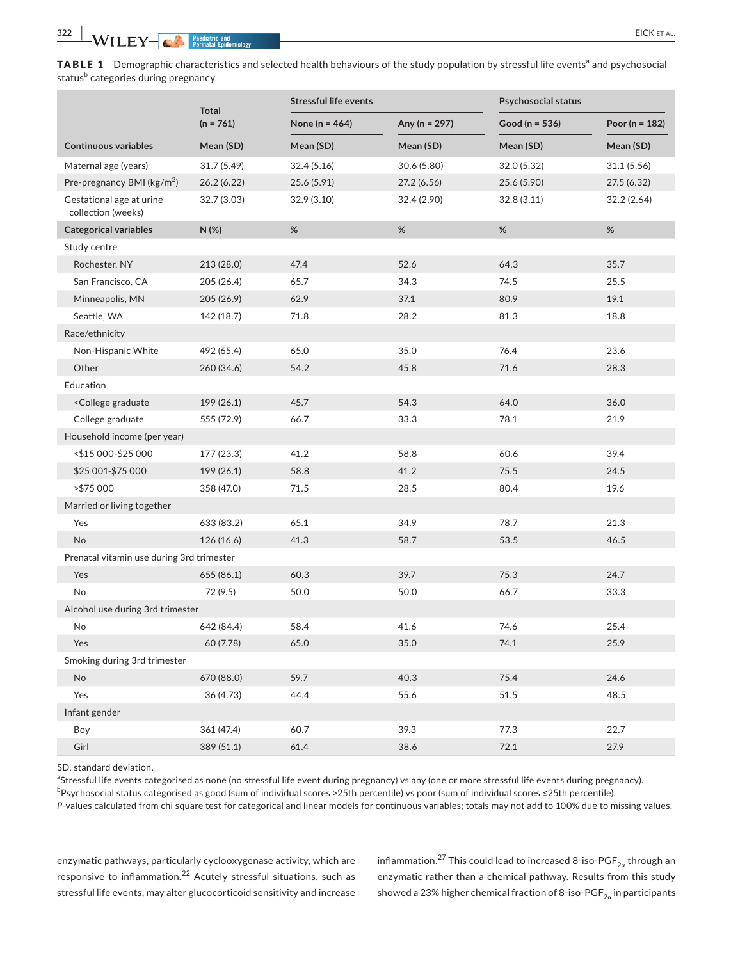TABLE 1 Demographic characteristics and selected health behaviours of the study population by stressful life events<sup>a</sup> and psychosocial status<sup>b</sup> categories during pregnancy

|                                                                                                               | <b>Total</b><br>$(n = 761)$ | <b>Stressful life events</b> |                   | <b>Psychosocial status</b> |                    |  |  |
|---------------------------------------------------------------------------------------------------------------|-----------------------------|------------------------------|-------------------|----------------------------|--------------------|--|--|
|                                                                                                               |                             | None ( $n = 464$ )           | Any ( $n = 297$ ) | Good ( $n = 536$ )         | Poor ( $n = 182$ ) |  |  |
| <b>Continuous variables</b>                                                                                   | Mean (SD)                   | Mean (SD)                    | Mean (SD)         | Mean (SD)                  | Mean (SD)          |  |  |
| Maternal age (years)                                                                                          | 31.7(5.49)                  | 32.4(5.16)                   | 30.6 (5.80)       | 32.0 (5.32)                | 31.1(5.56)         |  |  |
| Pre-pregnancy BMI ( $\text{kg/m}^2$ )                                                                         | 26.2(6.22)                  | 25.6 (5.91)                  | 27.2(6.56)        | 25.6 (5.90)                | 27.5(6.32)         |  |  |
| Gestational age at urine<br>collection (weeks)                                                                | 32.7 (3.03)                 | 32.9(3.10)                   | 32.4 (2.90)       | 32.8(3.11)                 | 32.2(2.64)         |  |  |
| <b>Categorical variables</b>                                                                                  | N(%)                        | $\%$                         | $\%$              | $\%$                       | %                  |  |  |
| Study centre                                                                                                  |                             |                              |                   |                            |                    |  |  |
| Rochester, NY                                                                                                 | 213 (28.0)                  | 47.4                         | 52.6              | 64.3                       | 35.7               |  |  |
| San Francisco, CA                                                                                             | 205 (26.4)                  | 65.7                         | 34.3              | 74.5                       | 25.5               |  |  |
| Minneapolis, MN                                                                                               | 205 (26.9)                  | 62.9                         | 37.1              | 80.9                       | 19.1               |  |  |
| Seattle, WA                                                                                                   | 142 (18.7)                  | 71.8                         | 28.2              | 81.3                       | 18.8               |  |  |
| Race/ethnicity                                                                                                |                             |                              |                   |                            |                    |  |  |
| Non-Hispanic White                                                                                            | 492 (65.4)                  | 65.0                         | 35.0              | 76.4                       | 23.6               |  |  |
| Other                                                                                                         | 260 (34.6)                  | 54.2                         | 45.8              | 71.6                       | 28.3               |  |  |
| Education                                                                                                     |                             |                              |                   |                            |                    |  |  |
| <college graduate<="" td=""><td>199 (26.1)</td><td>45.7</td><td>54.3</td><td>64.0</td><td>36.0</td></college> | 199 (26.1)                  | 45.7                         | 54.3              | 64.0                       | 36.0               |  |  |
| College graduate                                                                                              | 555 (72.9)                  | 66.7                         | 33.3              | 78.1                       | 21.9               |  |  |
| Household income (per year)                                                                                   |                             |                              |                   |                            |                    |  |  |
| <\$15 000-\$25 000                                                                                            | 177 (23.3)                  | 41.2                         | 58.8              | 60.6                       | 39.4               |  |  |
| \$25 001-\$75 000                                                                                             | 199 (26.1)                  | 58.8                         | 41.2              | 75.5                       | 24.5               |  |  |
| >\$75 000                                                                                                     | 358 (47.0)                  | 71.5                         | 28.5              | 80.4                       | 19.6               |  |  |
| Married or living together                                                                                    |                             |                              |                   |                            |                    |  |  |
| Yes                                                                                                           | 633 (83.2)                  | 65.1                         | 34.9              | 78.7                       | 21.3               |  |  |
| <b>No</b>                                                                                                     | 126 (16.6)                  | 41.3                         | 58.7              | 53.5                       | 46.5               |  |  |
| Prenatal vitamin use during 3rd trimester                                                                     |                             |                              |                   |                            |                    |  |  |
| Yes                                                                                                           | 655 (86.1)                  | 60.3                         | 39.7              | 75.3                       | 24.7               |  |  |
| <b>No</b>                                                                                                     | 72 (9.5)                    | 50.0                         | 50.0              | 66.7                       | 33.3               |  |  |
| Alcohol use during 3rd trimester                                                                              |                             |                              |                   |                            |                    |  |  |
| No                                                                                                            | 642 (84.4)                  | 58.4                         | 41.6              | 74.6                       | 25.4               |  |  |
| Yes                                                                                                           | 60 (7.78)                   | 65.0                         | 35.0              | 74.1                       | 25.9               |  |  |
| Smoking during 3rd trimester                                                                                  |                             |                              |                   |                            |                    |  |  |
| <b>No</b>                                                                                                     | 670 (88.0)                  | 59.7                         | 40.3              | 75.4                       | 24.6               |  |  |
| Yes                                                                                                           | 36 (4.73)                   | 44.4                         | 55.6              | 51.5                       | 48.5               |  |  |
| Infant gender                                                                                                 |                             |                              |                   |                            |                    |  |  |
| Boy                                                                                                           | 361 (47.4)                  | 60.7                         | 39.3              | 77.3                       | 22.7               |  |  |
| Girl                                                                                                          | 389 (51.1)                  | 61.4                         | 38.6              | 72.1                       | 27.9               |  |  |

SD, standard deviation.

aStressful life events categorised as none (no stressful life event during pregnancy) vs any (one or more stressful life events during pregnancy). <sup>b</sup>Psychosocial status categorised as good (sum of individual scores >25th percentile) vs poor (sum of individual scores ≤25th percentile). *P*-values calculated from chi square test for categorical and linear models for continuous variables; totals may not add to 100% due to missing values.

enzymatic pathways, particularly cyclooxygenase activity, which are responsive to inflammation.<sup>22</sup> Acutely stressful situations, such as stressful life events, may alter glucocorticoid sensitivity and increase

inflammation.<sup>27</sup> This could lead to increased 8-iso-PGF<sub>2 $\alpha$ </sub> through an enzymatic rather than a chemical pathway. Results from this study showed a 23% higher chemical fraction of 8-iso-PGF<sub>2 $\alpha$ </sub> in participants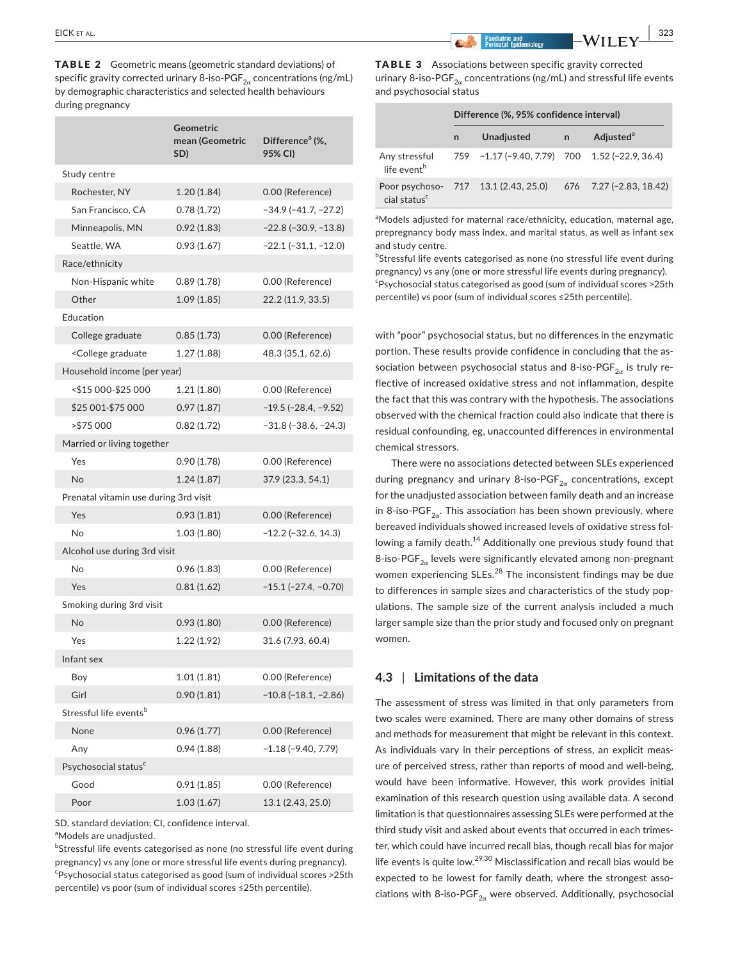TABLE 2 Geometric means (geometric standard deviations) of specific gravity corrected urinary 8-iso-PGF $_{2\alpha}$  concentrations (ng/mL) by demographic characteristics and selected health behaviours during pregnancy

|                                                                                     | Geometric<br>mean (Geometric<br>SD) | Difference <sup>a</sup> (%,<br>95% CI) |  |  |  |  |  |
|-------------------------------------------------------------------------------------|-------------------------------------|----------------------------------------|--|--|--|--|--|
| Study centre                                                                        |                                     |                                        |  |  |  |  |  |
| Rochester, NY                                                                       | 1.20(1.84)                          | 0.00 (Reference)                       |  |  |  |  |  |
| San Francisco, CA                                                                   | 0.78(1.72)                          | $-34.9$ ( $-41.7$ , $-27.2$ )          |  |  |  |  |  |
| Minneapolis, MN                                                                     | 0.92(1.83)                          | $-22.8$ ( $-30.9$ , $-13.8$ )          |  |  |  |  |  |
| Seattle, WA                                                                         | 0.93(1.67)                          | $-22.1$ ( $-31.1$ , $-12.0$ )          |  |  |  |  |  |
| Race/ethnicity                                                                      |                                     |                                        |  |  |  |  |  |
| Non-Hispanic white                                                                  | 0.89(1.78)                          | 0.00 (Reference)                       |  |  |  |  |  |
| Other                                                                               | 1.09(1.85)                          | 22.2 (11.9, 33.5)                      |  |  |  |  |  |
| Education                                                                           |                                     |                                        |  |  |  |  |  |
| College graduate                                                                    | 0.85(1.73)                          | 0.00 (Reference)                       |  |  |  |  |  |
| <college graduate<="" td=""><td>1.27(1.88)</td><td>48.3 (35.1, 62.6)</td></college> | 1.27(1.88)                          | 48.3 (35.1, 62.6)                      |  |  |  |  |  |
| Household income (per year)                                                         |                                     |                                        |  |  |  |  |  |
| <\$15 000-\$25 000                                                                  | 1.21(1.80)                          | 0.00 (Reference)                       |  |  |  |  |  |
| \$25 001-\$75 000                                                                   | 0.97(1.87)                          | $-19.5$ ( $-28.4$ , $-9.52$ )          |  |  |  |  |  |
| >\$75 000                                                                           | 0.82(1.72)                          | $-31.8(-38.6, -24.3)$                  |  |  |  |  |  |
| Married or living together                                                          |                                     |                                        |  |  |  |  |  |
| Yes                                                                                 | 0.90(1.78)                          | 0.00 (Reference)                       |  |  |  |  |  |
| <b>No</b>                                                                           | 1.24(1.87)                          | 37.9 (23.3, 54.1)                      |  |  |  |  |  |
| Prenatal vitamin use during 3rd visit                                               |                                     |                                        |  |  |  |  |  |
| Yes                                                                                 | 0.93(1.81)                          | 0.00 (Reference)                       |  |  |  |  |  |
| No                                                                                  | 1.03(1.80)                          | $-12.2$ ( $-32.6$ , 14.3)              |  |  |  |  |  |
| Alcohol use during 3rd visit                                                        |                                     |                                        |  |  |  |  |  |
| No                                                                                  | 0.96(1.83)                          | 0.00 (Reference)                       |  |  |  |  |  |
| Yes                                                                                 | 0.81(1.62)                          | $-15.1$ ( $-27.4$ , $-0.70$ )          |  |  |  |  |  |
| Smoking during 3rd visit                                                            |                                     |                                        |  |  |  |  |  |
| No                                                                                  | 0.93(1.80)                          | 0.00 (Reference)                       |  |  |  |  |  |
| Yes                                                                                 | 1.22(1.92)                          | 31.6 (7.93, 60.4)                      |  |  |  |  |  |
| Infant sex                                                                          |                                     |                                        |  |  |  |  |  |
| Boy                                                                                 | 1.01 (1.81)                         | 0.00 (Reference)                       |  |  |  |  |  |
| Girl                                                                                | 0.90(1.81)                          | $-10.8(-18.1, -2.86)$                  |  |  |  |  |  |
| Stressful life eventsb                                                              |                                     |                                        |  |  |  |  |  |
| None                                                                                | 0.96(1.77)                          | 0.00 (Reference)                       |  |  |  |  |  |
| Any                                                                                 | 0.94(1.88)                          | $-1.18(-9.40, 7.79)$                   |  |  |  |  |  |
| Psychosocial status <sup>c</sup>                                                    |                                     |                                        |  |  |  |  |  |
| Good                                                                                | 0.91(1.85)                          | 0.00 (Reference)                       |  |  |  |  |  |
| Poor                                                                                | 1.03(1.67)                          | 13.1 (2.43, 25.0)                      |  |  |  |  |  |

SD, standard deviation; CI, confidence interval.

<sup>a</sup>Models are unadjusted.

<sup>b</sup>Stressful life events categorised as none (no stressful life event during pregnancy) vs any (one or more stressful life events during pregnancy). c Psychosocial status categorised as good (sum of individual scores >25th percentile) vs poor (sum of individual scores ≤25th percentile).

 **EICK** ET AL. **1996 1997 • 1998 • 1999 • 1999 • 1999 • 1999 • 1999 • 1999 • 1999 • 1999 • 1999 • 1999 • 1999 • 1999 • 1999 • 1999 • 1999 • 1999 • 1999 • 1999 • 1999 • 1999 • 1999 • 1999 • 1999 • 1999 • 1999 • 1999 • 199** 

|                         | <b>TABLE 3</b> Associations between specific gravity corrected                    |
|-------------------------|-----------------------------------------------------------------------------------|
|                         | urinary 8-iso-PGF <sub>2-x</sub> concentrations (ng/mL) and stressful life events |
| and psychosocial status |                                                                                   |

| Difference (%, 95% confidence interval) |            |  |                                                                                                                                   |  |
|-----------------------------------------|------------|--|-----------------------------------------------------------------------------------------------------------------------------------|--|
| n                                       | Unadjusted |  | Adjusted <sup>a</sup>                                                                                                             |  |
|                                         |            |  |                                                                                                                                   |  |
|                                         |            |  |                                                                                                                                   |  |
|                                         |            |  | $n \rightarrow$<br>759 -1.17 (-9.40, 7.79) 700 1.52 (-22.9, 36.4)<br>Poor psychoso- 717 13.1 (2.43, 25.0) 676 7.27 (-2.83, 18.42) |  |

aModels adjusted for maternal race/ethnicity, education, maternal age, prepregnancy body mass index, and marital status, as well as infant sex and study centre.

<sup>b</sup>Stressful life events categorised as none (no stressful life event during pregnancy) vs any (one or more stressful life events during pregnancy). c Psychosocial status categorised as good (sum of individual scores >25th percentile) vs poor (sum of individual scores ≤25th percentile).

with "poor" psychosocial status, but no differences in the enzymatic portion. These results provide confidence in concluding that the association between psychosocial status and 8-iso-PGF<sub>2 $\alpha$ </sub> is truly reflective of increased oxidative stress and not inflammation, despite the fact that this was contrary with the hypothesis. The associations observed with the chemical fraction could also indicate that there is residual confounding, eg, unaccounted differences in environmental chemical stressors.

There were no associations detected between SLEs experienced during pregnancy and urinary 8-iso-PGF $_{2\alpha}$  concentrations, except for the unadjusted association between family death and an increase in 8-iso-PGF<sub>2 $\alpha$ </sub>. This association has been shown previously, where bereaved individuals showed increased levels of oxidative stress following a family death.<sup>14</sup> Additionally one previous study found that 8-iso-PGF $_{2\alpha}$  levels were significantly elevated among non-pregnant women experiencing SLEs.<sup>28</sup> The inconsistent findings may be due to differences in sample sizes and characteristics of the study populations. The sample size of the current analysis included a much larger sample size than the prior study and focused only on pregnant women.

## **4.3** | **Limitations of the data**

The assessment of stress was limited in that only parameters from two scales were examined. There are many other domains of stress and methods for measurement that might be relevant in this context. As individuals vary in their perceptions of stress, an explicit measure of perceived stress, rather than reports of mood and well-being, would have been informative. However, this work provides initial examination of this research question using available data. A second limitation is that questionnaires assessing SLEs were performed at the third study visit and asked about events that occurred in each trimester, which could have incurred recall bias, though recall bias for major life events is quite low.29,30 Misclassification and recall bias would be expected to be lowest for family death, where the strongest associations with 8-iso-PGF $_{2\alpha}$  were observed. Additionally, psychosocial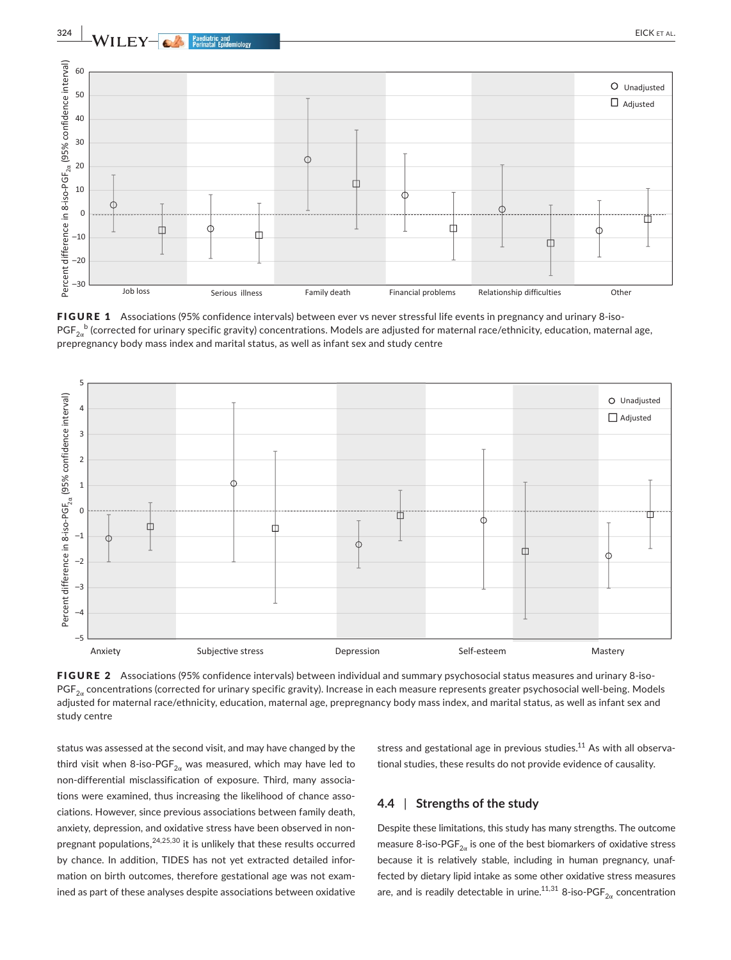

FIGURE 1 Associations (95% confidence intervals) between ever vs never stressful life events in pregnancy and urinary 8-iso- $\mathsf{PGF}_{2\alpha}^{\ b}$  (corrected for urinary specific gravity) concentrations. Models are adjusted for maternal race/ethnicity, education, maternal age, prepregnancy body mass index and marital status, as well as infant sex and study centre



FIGURE 2 Associations (95% confidence intervals) between individual and summary psychosocial status measures and urinary 8-iso- $PGF_{2\alpha}$  concentrations (corrected for urinary specific gravity). Increase in each measure represents greater psychosocial well-being. Models adjusted for maternal race/ethnicity, education, maternal age, prepregnancy body mass index, and marital status, as well as infant sex and study centre

status was assessed at the second visit, and may have changed by the third visit when 8-iso-PGF<sub>2 $\alpha$ </sub> was measured, which may have led to non-differential misclassification of exposure. Third, many associations were examined, thus increasing the likelihood of chance associations. However, since previous associations between family death, anxiety, depression, and oxidative stress have been observed in nonpregnant populations,  $24,25,30$  it is unlikely that these results occurred by chance. In addition, TIDES has not yet extracted detailed information on birth outcomes, therefore gestational age was not examined as part of these analyses despite associations between oxidative stress and gestational age in previous studies. $11$  As with all observational studies, these results do not provide evidence of causality.

## **4.4** | **Strengths of the study**

Despite these limitations, this study has many strengths. The outcome measure 8-iso-PGF $_{2\alpha}$  is one of the best biomarkers of oxidative stress because it is relatively stable, including in human pregnancy, unaffected by dietary lipid intake as some other oxidative stress measures are, and is readily detectable in urine.<sup>11,31</sup> 8-iso-PGF<sub>2 $\alpha$ </sub> concentration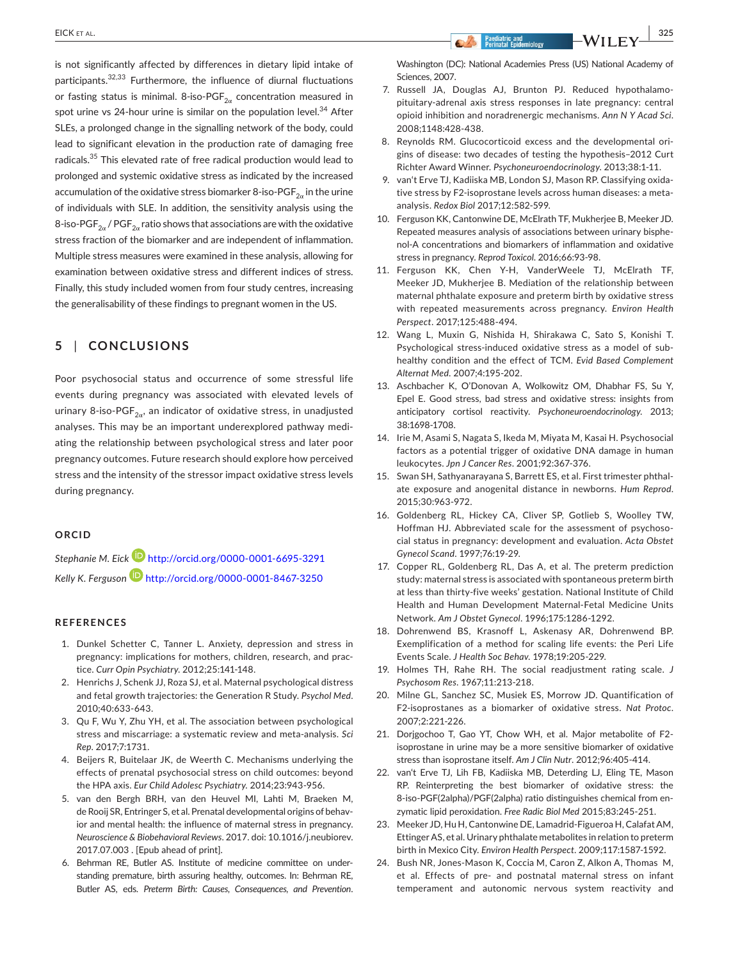is not significantly affected by differences in dietary lipid intake of participants.32,33 Furthermore, the influence of diurnal fluctuations or fasting status is minimal. 8-iso-PGF<sub>2 $\alpha$ </sub> concentration measured in spot urine vs 24-hour urine is similar on the population level. $34$  After SLEs, a prolonged change in the signalling network of the body, could lead to significant elevation in the production rate of damaging free radicals.35 This elevated rate of free radical production would lead to prolonged and systemic oxidative stress as indicated by the increased accumulation of the oxidative stress biomarker 8-iso-PGF $_{2\alpha}$  in the urine of individuals with SLE. In addition, the sensitivity analysis using the 8-iso-PGF<sub>2 $\alpha$ </sub> / PGF<sub>2 $\alpha$ </sub> ratio shows that associations are with the oxidative stress fraction of the biomarker and are independent of inflammation. Multiple stress measures were examined in these analysis, allowing for examination between oxidative stress and different indices of stress. Finally, this study included women from four study centres, increasing the generalisability of these findings to pregnant women in the US.

## **5** | **CONCLUSIONS**

Poor psychosocial status and occurrence of some stressful life events during pregnancy was associated with elevated levels of urinary 8-iso-PGF<sub>2 $\alpha$ </sub>, an indicator of oxidative stress, in unadjusted analyses. This may be an important underexplored pathway mediating the relationship between psychological stress and later poor pregnancy outcomes. Future research should explore how perceived stress and the intensity of the stressor impact oxidative stress levels during pregnancy.

## **ORCID**

*Stephanie M. Eick* <http://orcid.org/0000-0001-6695-3291> *Kelly K. Ferguson* <http://orcid.org/0000-0001-8467-3250>

#### **REFERENCES**

- 1. Dunkel Schetter C, Tanner L. Anxiety, depression and stress in pregnancy: implications for mothers, children, research, and practice. *Curr Opin Psychiatry*. 2012;25:141-148.
- 2. Henrichs J, Schenk JJ, Roza SJ, et al. Maternal psychological distress and fetal growth trajectories: the Generation R Study. *Psychol Med*. 2010;40:633-643.
- 3. Qu F, Wu Y, Zhu YH, et al. The association between psychological stress and miscarriage: a systematic review and meta-analysis. *Sci Rep*. 2017;7:1731.
- 4. Beijers R, Buitelaar JK, de Weerth C. Mechanisms underlying the effects of prenatal psychosocial stress on child outcomes: beyond the HPA axis. *Eur Child Adolesc Psychiatry*. 2014;23:943-956.
- 5. van den Bergh BRH, van den Heuvel MI, Lahti M, Braeken M, de Rooij SR, Entringer S, et al. Prenatal developmental origins of behavior and mental health: the influence of maternal stress in pregnancy. *Neuroscience & Biobehavioral Reviews*. 2017. doi: [10.1016/j.neubiorev.](https://doi.org/10.1016/j.neubiorev.2017.07.003) [2017.07.003](https://doi.org/10.1016/j.neubiorev.2017.07.003) . [Epub ahead of print].
- 6. Behrman RE, Butler AS. Institute of medicine committee on understanding premature, birth assuring healthy, outcomes. In: Behrman RE, Butler AS, eds. *Preterm Birth: Causes, Consequences, and Prevention*.

Washington (DC): National Academies Press (US) National Academy of Sciences, 2007.

- 7. Russell JA, Douglas AJ, Brunton PJ. Reduced hypothalamopituitary-adrenal axis stress responses in late pregnancy: central opioid inhibition and noradrenergic mechanisms. *Ann N Y Acad Sci*. 2008;1148:428-438.
- 8. Reynolds RM. Glucocorticoid excess and the developmental origins of disease: two decades of testing the hypothesis–2012 Curt Richter Award Winner. *Psychoneuroendocrinology*. 2013;38:1-11.
- 9. van't Erve TJ, Kadiiska MB, London SJ, Mason RP. Classifying oxidative stress by F2-isoprostane levels across human diseases: a metaanalysis. *Redox Biol* 2017;12:582-599.
- 10. Ferguson KK, Cantonwine DE, McElrath TF, Mukherjee B, Meeker JD. Repeated measures analysis of associations between urinary bisphenol-A concentrations and biomarkers of inflammation and oxidative stress in pregnancy. *Reprod Toxicol*. 2016;66:93-98.
- 11. Ferguson KK, Chen Y-H, VanderWeele TJ, McElrath TF, Meeker JD, Mukherjee B. Mediation of the relationship between maternal phthalate exposure and preterm birth by oxidative stress with repeated measurements across pregnancy. *Environ Health Perspect*. 2017;125:488-494.
- 12. Wang L, Muxin G, Nishida H, Shirakawa C, Sato S, Konishi T. Psychological stress-induced oxidative stress as a model of subhealthy condition and the effect of TCM. *Evid Based Complement Alternat Med*. 2007;4:195-202.
- 13. Aschbacher K, O'Donovan A, Wolkowitz OM, Dhabhar FS, Su Y, Epel E. Good stress, bad stress and oxidative stress: insights from anticipatory cortisol reactivity. *Psychoneuroendocrinology*. 2013; 38:1698-1708.
- 14. Irie M, Asami S, Nagata S, Ikeda M, Miyata M, Kasai H. Psychosocial factors as a potential trigger of oxidative DNA damage in human leukocytes. *Jpn J Cancer Res*. 2001;92:367-376.
- 15. Swan SH, Sathyanarayana S, Barrett ES, et al. First trimester phthalate exposure and anogenital distance in newborns. *Hum Reprod*. 2015;30:963-972.
- 16. Goldenberg RL, Hickey CA, Cliver SP, Gotlieb S, Woolley TW, Hoffman HJ. Abbreviated scale for the assessment of psychosocial status in pregnancy: development and evaluation. *Acta Obstet Gynecol Scand*. 1997;76:19-29.
- 17. Copper RL, Goldenberg RL, Das A, et al. The preterm prediction study: maternal stress is associated with spontaneous preterm birth at less than thirty-five weeks' gestation. National Institute of Child Health and Human Development Maternal-Fetal Medicine Units Network. *Am J Obstet Gynecol*. 1996;175:1286-1292.
- 18. Dohrenwend BS, Krasnoff L, Askenasy AR, Dohrenwend BP. Exemplification of a method for scaling life events: the Peri Life Events Scale. *J Health Soc Behav*. 1978;19:205-229.
- 19. Holmes TH, Rahe RH. The social readjustment rating scale. *J Psychosom Res*. 1967;11:213-218.
- 20. Milne GL, Sanchez SC, Musiek ES, Morrow JD. Quantification of F2-isoprostanes as a biomarker of oxidative stress. *Nat Protoc*. 2007;2:221-226.
- 21. Dorjgochoo T, Gao YT, Chow WH, et al. Major metabolite of F2 isoprostane in urine may be a more sensitive biomarker of oxidative stress than isoprostane itself. *Am J Clin Nutr*. 2012;96:405-414.
- 22. van't Erve TJ, Lih FB, Kadiiska MB, Deterding LJ, Eling TE, Mason RP. Reinterpreting the best biomarker of oxidative stress: the 8-iso-PGF(2alpha)/PGF(2alpha) ratio distinguishes chemical from enzymatic lipid peroxidation. *Free Radic Biol Med* 2015;83:245-251.
- 23. Meeker JD, Hu H, Cantonwine DE, Lamadrid-Figueroa H, Calafat AM, Ettinger AS, et al. Urinary phthalate metabolites in relation to preterm birth in Mexico City. *Environ Health Perspect*. 2009;117:1587-1592.
- 24. Bush NR, Jones-Mason K, Coccia M, Caron Z, Alkon A, Thomas M, et al. Effects of pre- and postnatal maternal stress on infant temperament and autonomic nervous system reactivity and